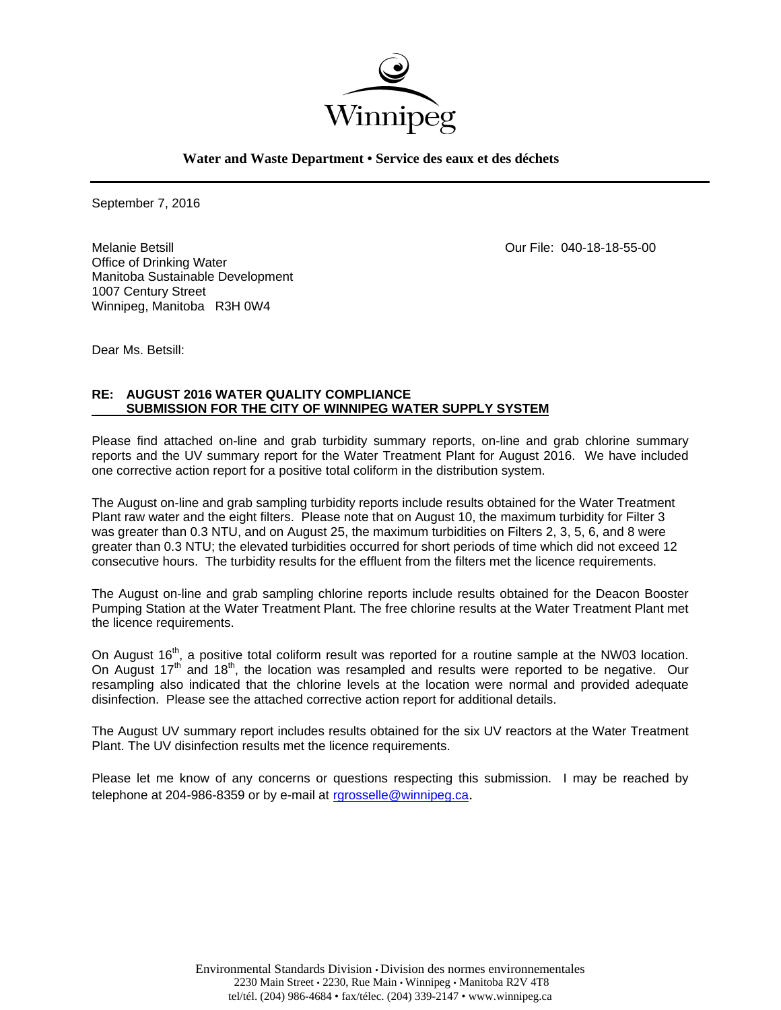

**Water and Waste Department • Service des eaux et des déchets**

September 7, 2016

Melanie Betsill Our File: 040-18-18-55-00 Office of Drinking Water Manitoba Sustainable Development 1007 Century Street Winnipeg, Manitoba R3H 0W4

Dear Ms. Betsill:

### **RE: AUGUST 2016 WATER QUALITY COMPLIANCE SUBMISSION FOR THE CITY OF WINNIPEG WATER SUPPLY SYSTEM**

Please find attached on-line and grab turbidity summary reports, on-line and grab chlorine summary reports and the UV summary report for the Water Treatment Plant for August 2016. We have included one corrective action report for a positive total coliform in the distribution system.

The August on-line and grab sampling turbidity reports include results obtained for the Water Treatment Plant raw water and the eight filters. Please note that on August 10, the maximum turbidity for Filter 3 was greater than 0.3 NTU, and on August 25, the maximum turbidities on Filters 2, 3, 5, 6, and 8 were greater than 0.3 NTU; the elevated turbidities occurred for short periods of time which did not exceed 12 consecutive hours. The turbidity results for the effluent from the filters met the licence requirements.

The August on-line and grab sampling chlorine reports include results obtained for the Deacon Booster Pumping Station at the Water Treatment Plant. The free chlorine results at the Water Treatment Plant met the licence requirements.

On August 16<sup>th</sup>, a positive total coliform result was reported for a routine sample at the NW03 location. On August 17<sup>th</sup> and 18<sup>th</sup>, the location was resampled and results were reported to be negative. Our resampling also indicated that the chlorine levels at the location were normal and provided adequate disinfection. Please see the attached corrective action report for additional details.

The August UV summary report includes results obtained for the six UV reactors at the Water Treatment Plant. The UV disinfection results met the licence requirements.

Please let me know of any concerns or questions respecting this submission. I may be reached by telephone at 204-986-8359 or by e-mail at rgrosselle@winnipeg.ca.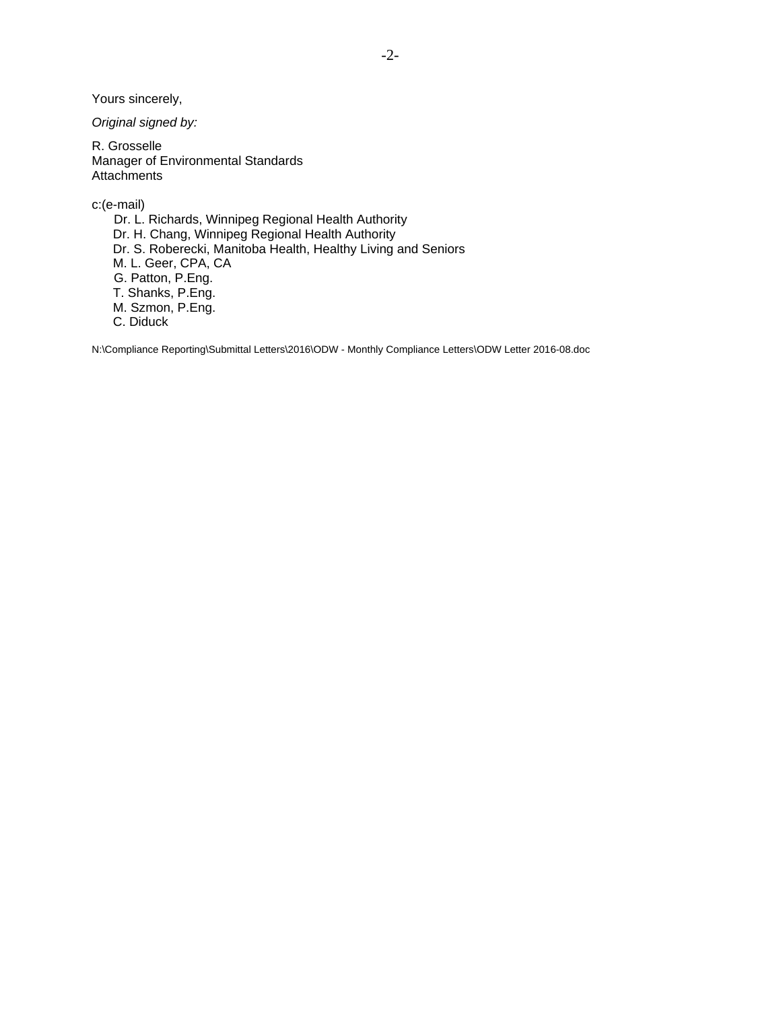Yours sincerely,

*Original signed by:* 

R. Grosselle Manager of Environmental Standards **Attachments** 

c:(e-mail)

 Dr. L. Richards, Winnipeg Regional Health Authority Dr. H. Chang, Winnipeg Regional Health Authority Dr. S. Roberecki, Manitoba Health, Healthy Living and Seniors M. L. Geer, CPA, CA G. Patton, P.Eng. T. Shanks, P.Eng. M. Szmon, P.Eng. C. Diduck

N:\Compliance Reporting\Submittal Letters\2016\ODW - Monthly Compliance Letters\ODW Letter 2016-08.doc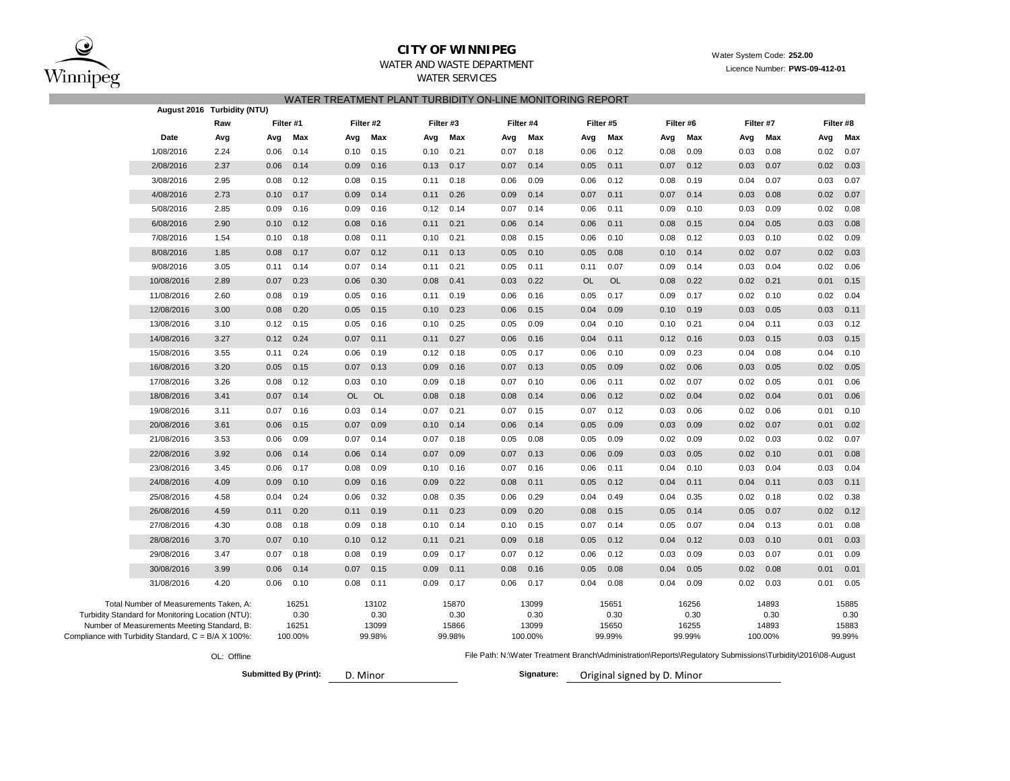

## **CITY OF WINNIPEG** WATER WATER WATER System Code: 252.00

# WATER AND WASTE DEPARTMENT **Licence Multiple Controller State Controller** Licence Number: **PWS-09-412-01**

## WATER SERVICES

### WATER TREATMENT PLANT TURBIDITY ON-LINE MONITORING REPORT

|                                                     |                                                   | August 2016 Turbidity (NTU) |           |                              |           |           |      |           |      |            |           |           |                                                                                                             |        |      |           |           |        |  |
|-----------------------------------------------------|---------------------------------------------------|-----------------------------|-----------|------------------------------|-----------|-----------|------|-----------|------|------------|-----------|-----------|-------------------------------------------------------------------------------------------------------------|--------|------|-----------|-----------|--------|--|
|                                                     |                                                   | Raw                         | Filter #1 |                              |           | Filter #2 |      | Filter #3 |      | Filter #4  |           | Filter #5 | Filter #6                                                                                                   |        |      | Filter #7 | Filter #8 |        |  |
|                                                     | Date                                              | Avg                         | Avg       | Max                          | Avg       | Max       | Avg  | Max       | Avg  | Max        | Avg       | Max       | Avg                                                                                                         | Max    | Avg  | Max       | Avg       | Max    |  |
|                                                     | 1/08/2016                                         | 2.24                        | 0.06      | 0.14                         | 0.10      | 0.15      | 0.10 | 0.21      | 0.07 | 0.18       | 0.06      | 0.12      | 0.08                                                                                                        | 0.09   | 0.03 | 0.08      | 0.02      | 0.07   |  |
|                                                     | 2/08/2016                                         | 2.37                        | 0.06      | 0.14                         | 0.09      | 0.16      | 0.13 | 0.17      | 0.07 | 0.14       | 0.05      | 0.11      | 0.07                                                                                                        | 0.12   | 0.03 | 0.07      | 0.02      | 0.03   |  |
|                                                     | 3/08/2016                                         | 2.95                        | 0.08      | 0.12                         | 0.08      | 0.15      | 0.11 | 0.18      | 0.06 | 0.09       | 0.06      | 0.12      | 0.08                                                                                                        | 0.19   | 0.04 | 0.07      | 0.03      | 0.07   |  |
|                                                     | 4/08/2016                                         | 2.73                        | 0.10      | 0.17                         | 0.09      | 0.14      | 0.11 | 0.26      | 0.09 | 0.14       | 0.07      | 0.11      | 0.07                                                                                                        | 0.14   | 0.03 | 0.08      | 0.02      | 0.07   |  |
|                                                     | 5/08/2016                                         | 2.85                        | 0.09      | 0.16                         | 0.09      | 0.16      | 0.12 | 0.14      | 0.07 | 0.14       | 0.06      | 0.11      | 0.09                                                                                                        | 0.10   | 0.03 | 0.09      | 0.02      | 0.08   |  |
|                                                     | 6/08/2016                                         | 2.90                        | 0.10      | 0.12                         | 0.08      | 0.16      | 0.11 | 0.21      | 0.06 | 0.14       | 0.06      | 0.11      | 0.08                                                                                                        | 0.15   | 0.04 | 0.05      | 0.03      | 0.08   |  |
|                                                     | 7/08/2016                                         | 1.54                        | 0.10      | 0.18                         | 0.08      | 0.11      | 0.10 | 0.21      | 0.08 | 0.15       | 0.06      | 0.10      | 0.08                                                                                                        | 0.12   | 0.03 | 0.10      | 0.02      | 0.09   |  |
|                                                     | 8/08/2016                                         | 1.85                        | 0.08      | 0.17                         | 0.07      | 0.12      | 0.11 | 0.13      | 0.05 | 0.10       | 0.05      | 0.08      | 0.10                                                                                                        | 0.14   | 0.02 | 0.07      | 0.02      | 0.03   |  |
|                                                     | 9/08/2016                                         | 3.05                        | 0.11      | 0.14                         | 0.07      | 0.14      | 0.11 | 0.21      | 0.05 | 0.11       | 0.11      | 0.07      | 0.09                                                                                                        | 0.14   | 0.03 | 0.04      | 0.02      | 0.06   |  |
|                                                     | 10/08/2016                                        | 2.89                        | 0.07      | 0.23                         | 0.06      | 0.30      | 0.08 | 0.41      | 0.03 | 0.22       | <b>OL</b> | <b>OL</b> | 0.08                                                                                                        | 0.22   | 0.02 | 0.21      | 0.01      | 0.15   |  |
|                                                     | 11/08/2016                                        | 2.60                        | 0.08      | 0.19                         | 0.05      | 0.16      | 0.11 | 0.19      | 0.06 | 0.16       | 0.05      | 0.17      | 0.09                                                                                                        | 0.17   | 0.02 | 0.10      | 0.02      | 0.04   |  |
|                                                     | 12/08/2016                                        | 3.00                        | 0.08      | 0.20                         | 0.05      | 0.15      | 0.10 | 0.23      | 0.06 | 0.15       | 0.04      | 0.09      | 0.10                                                                                                        | 0.19   | 0.03 | 0.05      | 0.03      | 0.11   |  |
|                                                     | 13/08/2016                                        | 3.10                        | 0.12      | 0.15                         | 0.05      | 0.16      | 0.10 | 0.25      | 0.05 | 0.09       | 0.04      | 0.10      | 0.10                                                                                                        | 0.21   | 0.04 | 0.11      | 0.03      | 0.12   |  |
|                                                     | 14/08/2016                                        | 3.27                        | 0.12      | 0.24                         | 0.07      | 0.11      | 0.11 | 0.27      | 0.06 | 0.16       | 0.04      | 0.11      | 0.12                                                                                                        | 0.16   | 0.03 | 0.15      | 0.03      | 0.15   |  |
|                                                     | 15/08/2016                                        | 3.55                        | 0.11      | 0.24                         | 0.06      | 0.19      | 0.12 | 0.18      | 0.05 | 0.17       | 0.06      | 0.10      | 0.09                                                                                                        | 0.23   | 0.04 | 0.08      | 0.04      | 0.10   |  |
|                                                     | 16/08/2016                                        | 3.20                        | 0.05      | 0.15                         | 0.07      | 0.13      | 0.09 | 0.16      | 0.07 | 0.13       | 0.05      | 0.09      | 0.02                                                                                                        | 0.06   | 0.03 | 0.05      | 0.02      | 0.05   |  |
|                                                     | 17/08/2016                                        | 3.26                        | 0.08      | 0.12                         | 0.03      | 0.10      | 0.09 | 0.18      | 0.07 | 0.10       | 0.06      | 0.11      | 0.02                                                                                                        | 0.07   | 0.02 | 0.05      | 0.01      | 0.06   |  |
|                                                     | 18/08/2016                                        | 3.41                        | 0.07      | 0.14                         | <b>OL</b> | <b>OL</b> | 0.08 | 0.18      | 0.08 | 0.14       | 0.06      | 0.12      | 0.02                                                                                                        | 0.04   | 0.02 | 0.04      | 0.01      | 0.06   |  |
|                                                     | 19/08/2016                                        | 3.11                        | 0.07      | 0.16                         | 0.03      | 0.14      | 0.07 | 0.21      | 0.07 | 0.15       | 0.07      | 0.12      | 0.03                                                                                                        | 0.06   | 0.02 | 0.06      | 0.01      | 0.10   |  |
|                                                     | 20/08/2016                                        | 3.61                        | 0.06      | 0.15                         | 0.07      | 0.09      | 0.10 | 0.14      | 0.06 | 0.14       | 0.05      | 0.09      | 0.03                                                                                                        | 0.09   | 0.02 | 0.07      | 0.01      | 0.02   |  |
|                                                     | 21/08/2016                                        | 3.53                        | 0.06      | 0.09                         | 0.07      | 0.14      | 0.07 | 0.18      | 0.05 | 0.08       | 0.05      | 0.09      | 0.02                                                                                                        | 0.09   | 0.02 | 0.03      | 0.02      | 0.07   |  |
|                                                     | 22/08/2016                                        | 3.92                        | 0.06      | 0.14                         | 0.06      | 0.14      | 0.07 | 0.09      | 0.07 | 0.13       | 0.06      | 0.09      | 0.03                                                                                                        | 0.05   | 0.02 | 0.10      | 0.01      | 0.08   |  |
|                                                     | 23/08/2016                                        | 3.45                        | 0.06      | 0.17                         | 0.08      | 0.09      | 0.10 | 0.16      | 0.07 | 0.16       | 0.06      | 0.11      | 0.04                                                                                                        | 0.10   | 0.03 | 0.04      | 0.03      | 0.04   |  |
|                                                     | 24/08/2016                                        | 4.09                        | 0.09      | 0.10                         | 0.09      | 0.16      | 0.09 | 0.22      | 0.08 | 0.11       | 0.05      | 0.12      | 0.04                                                                                                        | 0.11   | 0.04 | 0.11      | 0.03      | 0.11   |  |
|                                                     | 25/08/2016                                        | 4.58                        | 0.04      | 0.24                         | 0.06      | 0.32      | 0.08 | 0.35      | 0.06 | 0.29       | 0.04      | 0.49      | 0.04                                                                                                        | 0.35   | 0.02 | 0.18      | 0.02      | 0.38   |  |
|                                                     | 26/08/2016                                        | 4.59                        | 0.11      | 0.20                         | 0.11      | 0.19      | 0.11 | 0.23      | 0.09 | 0.20       | 0.08      | 0.15      | 0.05                                                                                                        | 0.14   | 0.05 | 0.07      | 0.02      | 0.12   |  |
|                                                     | 27/08/2016                                        | 4.30                        | 0.08      | 0.18                         | 0.09      | 0.18      | 0.10 | 0.14      | 0.10 | 0.15       | 0.07      | 0.14      | 0.05                                                                                                        | 0.07   | 0.04 | 0.13      | 0.01      | 0.08   |  |
|                                                     | 28/08/2016                                        | 3.70                        | 0.07      | 0.10                         | 0.10      | 0.12      | 0.11 | 0.21      | 0.09 | 0.18       | 0.05      | 0.12      | 0.04                                                                                                        | 0.12   | 0.03 | 0.10      | 0.01      | 0.03   |  |
|                                                     | 29/08/2016                                        | 3.47                        | 0.07      | 0.18                         | 0.08      | 0.19      | 0.09 | 0.17      | 0.07 | 0.12       | 0.06      | 0.12      | 0.03                                                                                                        | 0.09   | 0.03 | 0.07      | 0.01      | 0.09   |  |
|                                                     | 30/08/2016                                        | 3.99                        | 0.06      | 0.14                         | 0.07      | 0.15      | 0.09 | 0.11      | 0.08 | 0.16       | 0.05      | 0.08      | 0.04                                                                                                        | 0.05   | 0.02 | 0.08      | 0.01      | 0.01   |  |
|                                                     | 31/08/2016                                        | 4.20                        | 0.06      | 0.10                         | 0.08      | 0.11      | 0.09 | 0.17      | 0.06 | 0.17       | 0.04      | 0.08      | 0.04                                                                                                        | 0.09   | 0.02 | 0.03      | 0.01      | 0.05   |  |
|                                                     | Total Number of Measurements Taken, A:            |                             |           | 16251                        |           | 13102     |      | 15870     |      | 13099      |           | 15651     |                                                                                                             | 16256  |      | 14893     |           | 15885  |  |
|                                                     | Turbidity Standard for Monitoring Location (NTU): |                             |           | 0.30                         |           | 0.30      |      | 0.30      |      | 0.30       |           | 0.30      |                                                                                                             | 0.30   |      | 0.30      |           | 0.30   |  |
|                                                     | Number of Measurements Meeting Standard, B:       |                             |           | 16251                        |           | 13099     |      | 15866     |      | 13099      |           | 15650     |                                                                                                             | 16255  |      | 14893     |           | 15883  |  |
| Compliance with Turbidity Standard, C = B/A X 100%: |                                                   |                             |           | 100.00%                      |           | 99.98%    |      | 99.98%    |      | 100.00%    |           | 99.99%    |                                                                                                             | 99.99% |      | 100.00%   |           | 99.99% |  |
|                                                     |                                                   | OL: Offline                 |           |                              |           |           |      |           |      |            |           |           | File Path: N:\Water Treatment Branch\Administration\Reports\Regulatory Submissions\Turbidity\2016\08-August |        |      |           |           |        |  |
|                                                     |                                                   |                             |           | <b>Submitted By (Print):</b> | D. Minor  |           |      |           |      | Signature: |           |           | Original signed by D. Minor                                                                                 |        |      |           |           |        |  |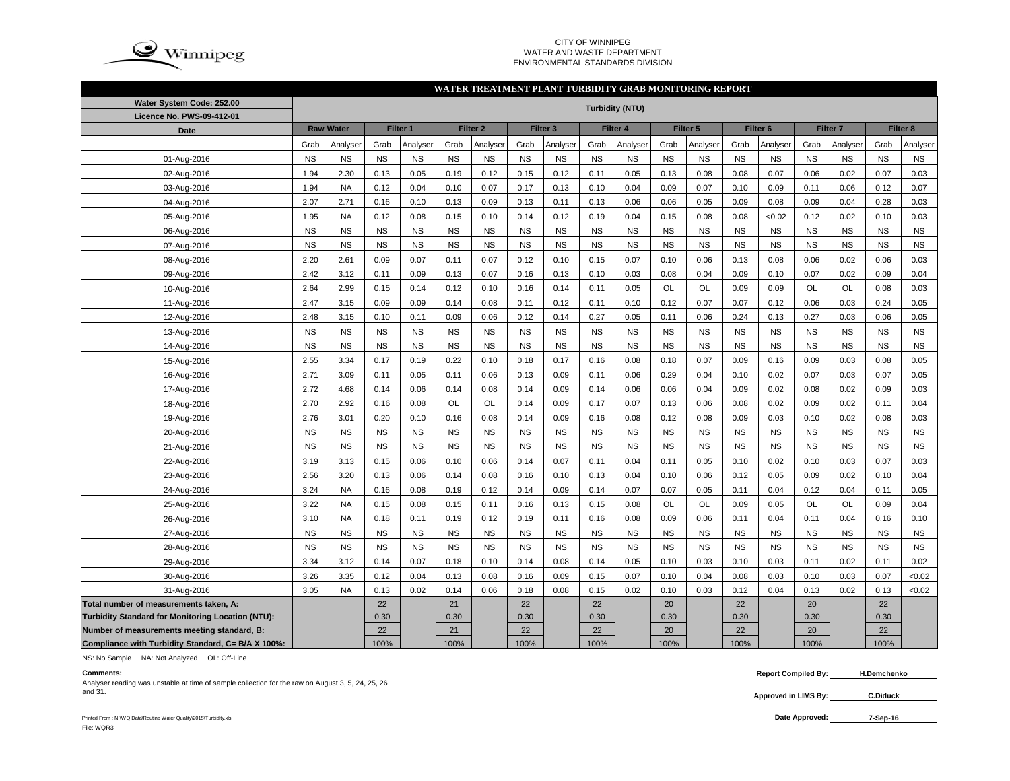

#### CITY OF WINNIPEG WATER AND WASTE DEPARTMENTENVIRONMENTAL STANDARDS DIVISION

#### **WATER TREATMENT PLANT TURBIDITY GRAB MONITORING REPORT**

| Water System Code: 252.00                          | <b>Turbidity (NTU)</b> |                  |           |           |           |                     |           |                     |           |           |           |           |           |                     |           |                     |           |           |
|----------------------------------------------------|------------------------|------------------|-----------|-----------|-----------|---------------------|-----------|---------------------|-----------|-----------|-----------|-----------|-----------|---------------------|-----------|---------------------|-----------|-----------|
| Licence No. PWS-09-412-01                          |                        |                  |           |           |           |                     |           |                     |           |           |           |           |           |                     |           |                     |           |           |
| Date                                               |                        | <b>Raw Water</b> |           | Filter 1  |           | Filter <sub>2</sub> |           | Filter <sub>3</sub> |           | Filter 4  |           | Filter 5  |           | Filter <sub>6</sub> |           | Filter <sub>7</sub> |           | Filter 8  |
|                                                    | Grab                   | Analyser         | Grab      | Analyser  | Grab      | Analyser            | Grab      | Analyser            | Grab      | Analyser  | Grab      | Analyser  | Grab      | Analyser            | Grab      | Analyser            | Grab      | Analyser  |
| 01-Aug-2016                                        | <b>NS</b>              | <b>NS</b>        | <b>NS</b> | <b>NS</b> | <b>NS</b> | <b>NS</b>           | <b>NS</b> | <b>NS</b>           | <b>NS</b> | <b>NS</b> | <b>NS</b> | <b>NS</b> | <b>NS</b> | <b>NS</b>           | <b>NS</b> | <b>NS</b>           | <b>NS</b> | <b>NS</b> |
| 02-Aug-2016                                        | 1.94                   | 2.30             | 0.13      | 0.05      | 0.19      | 0.12                | 0.15      | 0.12                | 0.11      | 0.05      | 0.13      | 0.08      | 0.08      | 0.07                | 0.06      | 0.02                | 0.07      | 0.03      |
| 03-Aug-2016                                        | 1.94                   | <b>NA</b>        | 0.12      | 0.04      | 0.10      | 0.07                | 0.17      | 0.13                | 0.10      | 0.04      | 0.09      | 0.07      | 0.10      | 0.09                | 0.11      | 0.06                | 0.12      | 0.07      |
| 04-Aug-2016                                        | 2.07                   | 2.71             | 0.16      | 0.10      | 0.13      | 0.09                | 0.13      | 0.11                | 0.13      | 0.06      | 0.06      | 0.05      | 0.09      | 0.08                | 0.09      | 0.04                | 0.28      | 0.03      |
| 05-Aug-2016                                        | 1.95                   | <b>NA</b>        | 0.12      | 0.08      | 0.15      | 0.10                | 0.14      | 0.12                | 0.19      | 0.04      | 0.15      | 0.08      | 0.08      | <0.02               | 0.12      | 0.02                | 0.10      | 0.03      |
| 06-Aug-2016                                        | <b>NS</b>              | <b>NS</b>        | <b>NS</b> | <b>NS</b> | <b>NS</b> | <b>NS</b>           | <b>NS</b> | <b>NS</b>           | <b>NS</b> | <b>NS</b> | <b>NS</b> | <b>NS</b> | <b>NS</b> | <b>NS</b>           | <b>NS</b> | <b>NS</b>           | <b>NS</b> | <b>NS</b> |
| 07-Aug-2016                                        | <b>NS</b>              | <b>NS</b>        | <b>NS</b> | <b>NS</b> | <b>NS</b> | <b>NS</b>           | <b>NS</b> | <b>NS</b>           | <b>NS</b> | <b>NS</b> | <b>NS</b> | <b>NS</b> | <b>NS</b> | <b>NS</b>           | <b>NS</b> | <b>NS</b>           | <b>NS</b> | <b>NS</b> |
| 08-Aug-2016                                        | 2.20                   | 2.61             | 0.09      | 0.07      | 0.11      | 0.07                | 0.12      | 0.10                | 0.15      | 0.07      | 0.10      | 0.06      | 0.13      | 0.08                | 0.06      | 0.02                | 0.06      | 0.03      |
| 09-Aug-2016                                        | 2.42                   | 3.12             | 0.11      | 0.09      | 0.13      | 0.07                | 0.16      | 0.13                | 0.10      | 0.03      | 0.08      | 0.04      | 0.09      | 0.10                | 0.07      | 0.02                | 0.09      | 0.04      |
| 10-Aug-2016                                        | 2.64                   | 2.99             | 0.15      | 0.14      | 0.12      | 0.10                | 0.16      | 0.14                | 0.11      | 0.05      | <b>OL</b> | OL        | 0.09      | 0.09                | OL        | OL                  | 0.08      | 0.03      |
| 11-Aug-2016                                        | 2.47                   | 3.15             | 0.09      | 0.09      | 0.14      | 0.08                | 0.11      | 0.12                | 0.11      | 0.10      | 0.12      | 0.07      | 0.07      | 0.12                | 0.06      | 0.03                | 0.24      | 0.05      |
| 12-Aug-2016                                        | 2.48                   | 3.15             | 0.10      | 0.11      | 0.09      | 0.06                | 0.12      | 0.14                | 0.27      | 0.05      | 0.11      | 0.06      | 0.24      | 0.13                | 0.27      | 0.03                | 0.06      | 0.05      |
| 13-Aug-2016                                        | <b>NS</b>              | <b>NS</b>        | <b>NS</b> | <b>NS</b> | <b>NS</b> | <b>NS</b>           | <b>NS</b> | <b>NS</b>           | <b>NS</b> | <b>NS</b> | <b>NS</b> | <b>NS</b> | <b>NS</b> | <b>NS</b>           | <b>NS</b> | <b>NS</b>           | <b>NS</b> | <b>NS</b> |
| 14-Aug-2016                                        | <b>NS</b>              | <b>NS</b>        | <b>NS</b> | <b>NS</b> | <b>NS</b> | <b>NS</b>           | <b>NS</b> | <b>NS</b>           | <b>NS</b> | <b>NS</b> | <b>NS</b> | <b>NS</b> | <b>NS</b> | <b>NS</b>           | <b>NS</b> | <b>NS</b>           | <b>NS</b> | <b>NS</b> |
| 15-Aug-2016                                        | 2.55                   | 3.34             | 0.17      | 0.19      | 0.22      | 0.10                | 0.18      | 0.17                | 0.16      | 0.08      | 0.18      | 0.07      | 0.09      | 0.16                | 0.09      | 0.03                | 0.08      | 0.05      |
| 16-Aug-2016                                        | 2.71                   | 3.09             | 0.11      | 0.05      | 0.11      | 0.06                | 0.13      | 0.09                | 0.11      | 0.06      | 0.29      | 0.04      | 0.10      | 0.02                | 0.07      | 0.03                | 0.07      | 0.05      |
| 17-Aug-2016                                        | 2.72                   | 4.68             | 0.14      | 0.06      | 0.14      | 0.08                | 0.14      | 0.09                | 0.14      | 0.06      | 0.06      | 0.04      | 0.09      | 0.02                | 0.08      | 0.02                | 0.09      | 0.03      |
| 18-Aug-2016                                        | 2.70                   | 2.92             | 0.16      | 0.08      | OL        | OL                  | 0.14      | 0.09                | 0.17      | 0.07      | 0.13      | 0.06      | 0.08      | 0.02                | 0.09      | 0.02                | 0.11      | 0.04      |
| 19-Aug-2016                                        | 2.76                   | 3.01             | 0.20      | 0.10      | 0.16      | 0.08                | 0.14      | 0.09                | 0.16      | 0.08      | 0.12      | 0.08      | 0.09      | 0.03                | 0.10      | 0.02                | 0.08      | 0.03      |
| 20-Aug-2016                                        | <b>NS</b>              | <b>NS</b>        | <b>NS</b> | <b>NS</b> | <b>NS</b> | <b>NS</b>           | <b>NS</b> | <b>NS</b>           | <b>NS</b> | <b>NS</b> | <b>NS</b> | <b>NS</b> | <b>NS</b> | <b>NS</b>           | <b>NS</b> | <b>NS</b>           | <b>NS</b> | <b>NS</b> |
| 21-Aug-2016                                        | <b>NS</b>              | <b>NS</b>        | <b>NS</b> | <b>NS</b> | <b>NS</b> | <b>NS</b>           | <b>NS</b> | <b>NS</b>           | <b>NS</b> | <b>NS</b> | <b>NS</b> | <b>NS</b> | <b>NS</b> | <b>NS</b>           | <b>NS</b> | <b>NS</b>           | <b>NS</b> | <b>NS</b> |
| 22-Aug-2016                                        | 3.19                   | 3.13             | 0.15      | 0.06      | 0.10      | 0.06                | 0.14      | 0.07                | 0.11      | 0.04      | 0.11      | 0.05      | 0.10      | 0.02                | 0.10      | 0.03                | 0.07      | 0.03      |
| 23-Aug-2016                                        | 2.56                   | 3.20             | 0.13      | 0.06      | 0.14      | 0.08                | 0.16      | 0.10                | 0.13      | 0.04      | 0.10      | 0.06      | 0.12      | 0.05                | 0.09      | 0.02                | 0.10      | 0.04      |
| 24-Aug-2016                                        | 3.24                   | <b>NA</b>        | 0.16      | 0.08      | 0.19      | 0.12                | 0.14      | 0.09                | 0.14      | 0.07      | 0.07      | 0.05      | 0.11      | 0.04                | 0.12      | 0.04                | 0.11      | 0.05      |
| 25-Aug-2016                                        | 3.22                   | <b>NA</b>        | 0.15      | 0.08      | 0.15      | 0.11                | 0.16      | 0.13                | 0.15      | 0.08      | <b>OL</b> | OL        | 0.09      | 0.05                | OL        | OL                  | 0.09      | 0.04      |
| 26-Aug-2016                                        | 3.10                   | <b>NA</b>        | 0.18      | 0.11      | 0.19      | 0.12                | 0.19      | 0.11                | 0.16      | 0.08      | 0.09      | 0.06      | 0.11      | 0.04                | 0.11      | 0.04                | 0.16      | 0.10      |
| 27-Aug-2016                                        | <b>NS</b>              | <b>NS</b>        | <b>NS</b> | <b>NS</b> | <b>NS</b> | <b>NS</b>           | <b>NS</b> | <b>NS</b>           | <b>NS</b> | <b>NS</b> | <b>NS</b> | <b>NS</b> | <b>NS</b> | <b>NS</b>           | <b>NS</b> | <b>NS</b>           | <b>NS</b> | <b>NS</b> |
| 28-Aug-2016                                        | <b>NS</b>              | <b>NS</b>        | <b>NS</b> | <b>NS</b> | <b>NS</b> | <b>NS</b>           | <b>NS</b> | <b>NS</b>           | <b>NS</b> | <b>NS</b> | <b>NS</b> | <b>NS</b> | <b>NS</b> | <b>NS</b>           | <b>NS</b> | <b>NS</b>           | <b>NS</b> | <b>NS</b> |
| 29-Aug-2016                                        | 3.34                   | 3.12             | 0.14      | 0.07      | 0.18      | 0.10                | 0.14      | 0.08                | 0.14      | 0.05      | 0.10      | 0.03      | 0.10      | 0.03                | 0.11      | 0.02                | 0.11      | 0.02      |
| 30-Aug-2016                                        | 3.26                   | 3.35             | 0.12      | 0.04      | 0.13      | 0.08                | 0.16      | 0.09                | 0.15      | 0.07      | 0.10      | 0.04      | 0.08      | 0.03                | 0.10      | 0.03                | 0.07      | <0.02     |
| 31-Aug-2016                                        | 3.05                   | <b>NA</b>        | 0.13      | 0.02      | 0.14      | 0.06                | 0.18      | 0.08                | 0.15      | 0.02      | 0.10      | 0.03      | 0.12      | 0.04                | 0.13      | 0.02                | 0.13      | <0.02     |
| Total number of measurements taken, A:             |                        |                  | 22        |           | 21        |                     | 22        |                     | 22        |           | 20        |           | 22        |                     | 20        |                     | 22        |           |
| Turbidity Standard for Monitoring Location (NTU):  |                        |                  | 0.30      |           | 0.30      |                     | 0.30      |                     | 0.30      |           | 0.30      |           | 0.30      |                     | 0.30      |                     | 0.30      |           |
| Number of measurements meeting standard, B:        |                        |                  | 22        |           | 21        |                     | 22        |                     | 22        |           | 20        |           | 22        |                     | 20        |                     | 22        |           |
| Compliance with Turbidity Standard, C= B/A X 100%: |                        |                  | 100%      |           | 100%      |                     | 100%      |                     | 100%      |           | 100%      |           | 100%      |                     | 100%      |                     | 100%      |           |

NS: No Sample NA: Not Analyzed OL: Off-Line

#### **Comments:**

Analyser reading was unstable at time of sample collection for the raw on August 3, 5, 24, 25, 26 and 31.

 **Report Compiled By: H.Demchenko**

**Approved in LIMS By: C.DiduckC.Diduck** 

Printed From : N:\WQ Data\Routine Water Quality\2015\Turbidity.xls **Date Approved:** File: WQR3

**7-Sep-16**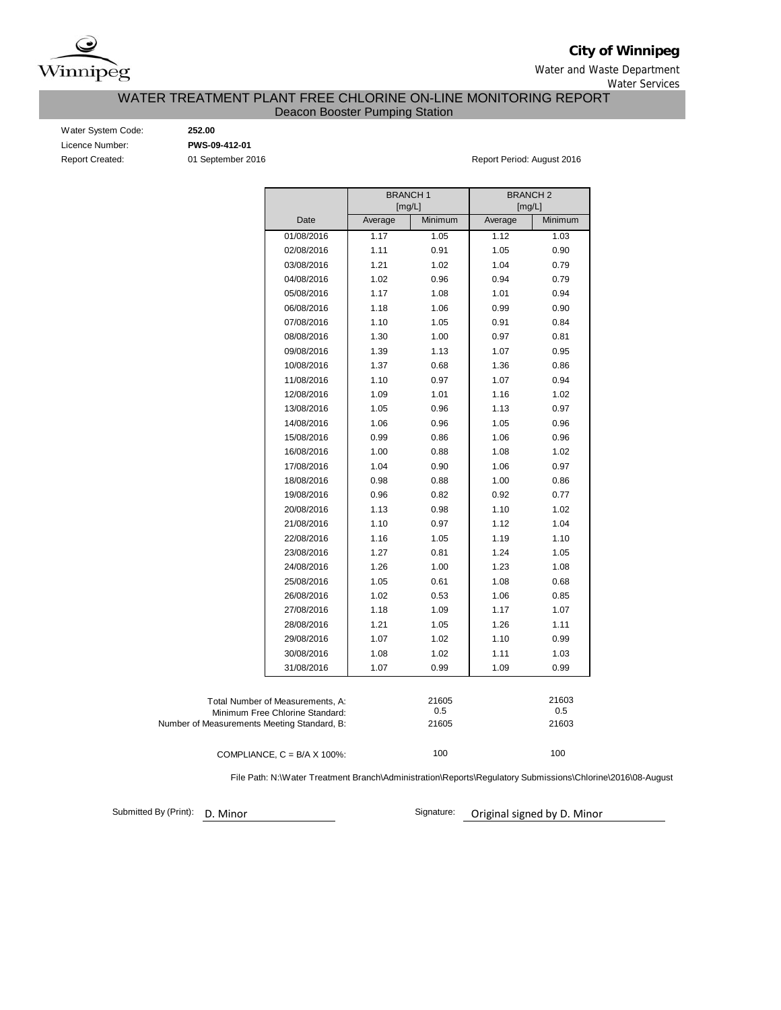

**City of Winnipeg**

Water and Waste Department Water Services

### WATER TREATMENT PLANT FREE CHLORINE ON-LINE MONITORING REPORT Deacon Booster Pumping Station

Water System Code: **252.00** Licence Number: **PWS-09-412-01**

Report Created: 01 September 2016 Report Period: August 2016

|                                             |                                  | <b>BRANCH1</b><br>[mg/L] |         | <b>BRANCH2</b><br>[mg/L] |         |  |  |
|---------------------------------------------|----------------------------------|--------------------------|---------|--------------------------|---------|--|--|
|                                             | Date                             | Average                  | Minimum | Average                  | Minimum |  |  |
|                                             | 01/08/2016                       | 1.17                     | 1.05    | 1.12                     | 1.03    |  |  |
|                                             | 02/08/2016                       | 1.11                     | 0.91    | 1.05                     | 0.90    |  |  |
|                                             | 03/08/2016                       | 1.21                     | 1.02    | 1.04                     | 0.79    |  |  |
|                                             |                                  |                          |         |                          |         |  |  |
|                                             | 04/08/2016                       | 1.02                     | 0.96    | 0.94                     | 0.79    |  |  |
|                                             | 05/08/2016                       | 1.17                     | 1.08    | 1.01                     | 0.94    |  |  |
|                                             | 06/08/2016                       | 1.18                     | 1.06    | 0.99                     | 0.90    |  |  |
|                                             | 07/08/2016                       | 1.10                     | 1.05    | 0.91                     | 0.84    |  |  |
|                                             | 08/08/2016                       | 1.30                     | 1.00    | 0.97                     | 0.81    |  |  |
|                                             | 09/08/2016                       | 1.39                     | 1.13    | 1.07                     | 0.95    |  |  |
|                                             | 10/08/2016                       | 1.37                     | 0.68    | 1.36                     | 0.86    |  |  |
|                                             | 11/08/2016                       | 1.10                     | 0.97    | 1.07                     | 0.94    |  |  |
|                                             | 12/08/2016                       | 1.09                     | 1.01    | 1.16                     | 1.02    |  |  |
|                                             | 13/08/2016                       | 1.05                     | 0.96    | 1.13                     | 0.97    |  |  |
|                                             | 14/08/2016                       | 1.06                     | 0.96    | 1.05                     | 0.96    |  |  |
|                                             | 15/08/2016                       | 0.99                     | 0.86    | 1.06                     | 0.96    |  |  |
|                                             | 16/08/2016                       | 1.00                     | 0.88    | 1.08                     | 1.02    |  |  |
|                                             | 17/08/2016                       | 1.04                     | 0.90    | 1.06                     | 0.97    |  |  |
|                                             | 18/08/2016                       | 0.98                     | 0.88    | 1.00                     | 0.86    |  |  |
|                                             | 19/08/2016                       | 0.96                     | 0.82    | 0.92                     | 0.77    |  |  |
|                                             | 20/08/2016                       | 1.13                     | 0.98    | 1.10                     | 1.02    |  |  |
|                                             | 21/08/2016                       | 1.10                     | 0.97    | 1.12                     | 1.04    |  |  |
|                                             | 22/08/2016                       | 1.16                     | 1.05    | 1.19                     | 1.10    |  |  |
|                                             | 23/08/2016                       | 1.27                     | 0.81    | 1.24                     | 1.05    |  |  |
|                                             | 24/08/2016                       | 1.26                     | 1.00    | 1.23                     | 1.08    |  |  |
|                                             | 25/08/2016                       | 1.05                     | 0.61    | 1.08                     | 0.68    |  |  |
|                                             | 26/08/2016                       | 1.02                     | 0.53    | 1.06                     | 0.85    |  |  |
|                                             | 27/08/2016                       | 1.18                     | 1.09    | 1.17                     | 1.07    |  |  |
|                                             | 28/08/2016                       | 1.21                     | 1.05    | 1.26                     | 1.11    |  |  |
|                                             | 29/08/2016                       | 1.07                     | 1.02    | 1.10                     | 0.99    |  |  |
|                                             | 30/08/2016                       | 1.08                     | 1.02    | 1.11                     | 1.03    |  |  |
|                                             | 31/08/2016                       | 1.07                     | 0.99    | 1.09                     | 0.99    |  |  |
|                                             |                                  |                          |         |                          |         |  |  |
|                                             | Total Number of Measurements, A: |                          | 21605   |                          | 21603   |  |  |
|                                             | Minimum Free Chlorine Standard:  |                          | 0.5     |                          | 0.5     |  |  |
| Number of Measurements Meeting Standard, B: |                                  |                          | 21605   |                          | 21603   |  |  |
|                                             |                                  |                          |         |                          |         |  |  |

COMPLIANCE,  $C = B/A \times 100\%$ :

File Path: N:\Water Treatment Branch\Administration\Reports\Regulatory Submissions\Chlorine\2016\08-August

100

Submitted By (Print): D. Minor

Signature: Original signed by D. Minor

100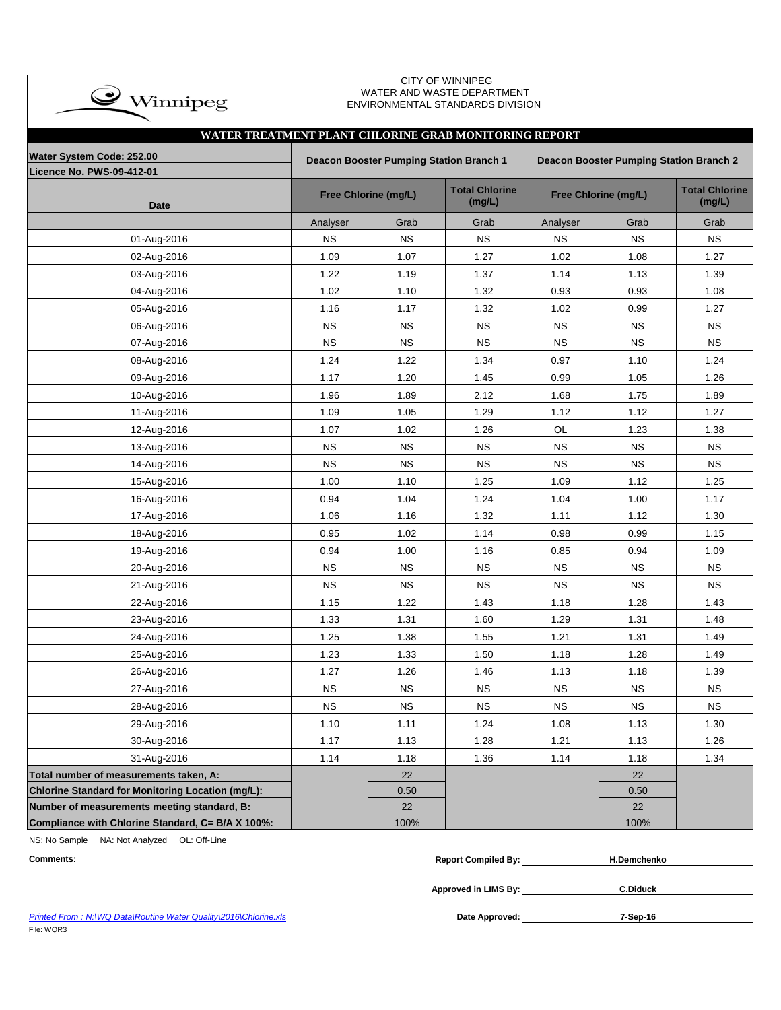| $\bigcirc$ Winnipeg                                    |           |                                         | <b>CITY OF WINNIPEG</b><br>WATER AND WASTE DEPARTMENT<br>ENVIRONMENTAL STANDARDS DIVISION |                                                |                      |                                 |  |  |  |
|--------------------------------------------------------|-----------|-----------------------------------------|-------------------------------------------------------------------------------------------|------------------------------------------------|----------------------|---------------------------------|--|--|--|
| WATER TREATMENT PLANT CHLORINE GRAB MONITORING REPORT  |           |                                         |                                                                                           |                                                |                      |                                 |  |  |  |
| Water System Code: 252.00<br>Licence No. PWS-09-412-01 |           | Deacon Booster Pumping Station Branch 1 |                                                                                           | <b>Deacon Booster Pumping Station Branch 2</b> |                      |                                 |  |  |  |
| <b>Date</b>                                            |           | Free Chlorine (mg/L)                    | <b>Total Chlorine</b><br>(mg/L)                                                           |                                                | Free Chlorine (mg/L) | <b>Total Chlorine</b><br>(mg/L) |  |  |  |
|                                                        | Analyser  | Grab                                    | Grab                                                                                      | Analyser                                       | Grab                 | Grab                            |  |  |  |
| 01-Aug-2016                                            | <b>NS</b> | <b>NS</b>                               | <b>NS</b>                                                                                 | <b>NS</b>                                      | <b>NS</b>            | <b>NS</b>                       |  |  |  |
| 02-Aug-2016                                            | 1.09      | 1.07                                    | 1.27                                                                                      | 1.02                                           | 1.08                 | 1.27                            |  |  |  |
| 03-Aug-2016                                            | 1.22      | 1.19                                    | 1.37                                                                                      | 1.14                                           | 1.13                 | 1.39                            |  |  |  |
| 04-Aug-2016                                            | 1.02      | 1.10                                    | 1.32                                                                                      | 0.93                                           | 0.93                 | 1.08                            |  |  |  |
| 05-Aug-2016                                            | 1.16      | 1.17                                    | 1.32                                                                                      | 1.02                                           | 0.99                 | 1.27                            |  |  |  |
| 06-Aug-2016                                            | <b>NS</b> | <b>NS</b>                               | <b>NS</b>                                                                                 | <b>NS</b>                                      | <b>NS</b>            | <b>NS</b>                       |  |  |  |
| 07-Aug-2016                                            | <b>NS</b> | <b>NS</b>                               | <b>NS</b>                                                                                 | <b>NS</b>                                      | <b>NS</b>            | <b>NS</b>                       |  |  |  |
| 08-Aug-2016                                            | 1.24      | 1.22                                    | 1.34                                                                                      | 0.97                                           | 1.10                 | 1.24                            |  |  |  |
| 09-Aug-2016                                            | 1.17      | 1.20                                    | 1.45                                                                                      | 0.99                                           | 1.05                 | 1.26                            |  |  |  |
| 10-Aug-2016                                            | 1.96      | 1.89                                    | 2.12                                                                                      | 1.68                                           | 1.75                 | 1.89                            |  |  |  |
| 11-Aug-2016                                            | 1.09      | 1.05                                    | 1.29                                                                                      | 1.12                                           | 1.12                 | 1.27                            |  |  |  |
| 12-Aug-2016                                            | 1.07      | 1.02                                    | 1.26                                                                                      | OL                                             | 1.23                 | 1.38                            |  |  |  |
| 13-Aug-2016                                            | <b>NS</b> | <b>NS</b>                               | <b>NS</b>                                                                                 | <b>NS</b>                                      | <b>NS</b>            | <b>NS</b>                       |  |  |  |
| 14-Aug-2016                                            | <b>NS</b> | <b>NS</b>                               | <b>NS</b>                                                                                 | <b>NS</b>                                      | <b>NS</b>            | <b>NS</b>                       |  |  |  |
| 15-Aug-2016                                            | 1.00      | 1.10                                    | 1.25                                                                                      | 1.09                                           | 1.12                 | 1.25                            |  |  |  |
| 16-Aug-2016                                            | 0.94      | 1.04                                    | 1.24                                                                                      | 1.04                                           | 1.00                 | 1.17                            |  |  |  |
| 17-Aug-2016                                            | 1.06      | 1.16                                    | 1.32                                                                                      | 1.11                                           | 1.12                 | 1.30                            |  |  |  |
| 18-Aug-2016                                            | 0.95      | 1.02                                    | 1.14                                                                                      | 0.98                                           | 0.99                 | 1.15                            |  |  |  |
| 19-Aug-2016                                            | 0.94      | 1.00                                    | 1.16                                                                                      | 0.85                                           | 0.94                 | 1.09                            |  |  |  |
| 20-Aug-2016                                            | <b>NS</b> | <b>NS</b>                               | <b>NS</b>                                                                                 | <b>NS</b>                                      | <b>NS</b>            | <b>NS</b>                       |  |  |  |
| 21-Aug-2016                                            | <b>NS</b> | <b>NS</b>                               | <b>NS</b>                                                                                 | <b>NS</b>                                      | <b>NS</b>            | <b>NS</b>                       |  |  |  |
| 22-Aug-2016                                            | 1.15      | 1.22                                    | 1.43                                                                                      | 1.18                                           | 1.28                 | 1.43                            |  |  |  |
| 23-Aug-2016                                            | 1.33      | 1.31                                    | 1.60                                                                                      | 1.29                                           | 1.31                 | 1.48                            |  |  |  |
| 24-Aug-2016                                            | 1.25      | 1.38                                    | 1.55                                                                                      | 1.21                                           | 1.31                 | 1.49                            |  |  |  |
| 25-Aug-2016                                            | 1.23      | 1.33                                    | 1.50                                                                                      | 1.18                                           | 1.28                 | 1.49                            |  |  |  |
| 26-Aug-2016                                            | 1.27      | 1.26                                    | 1.46                                                                                      | 1.13                                           | 1.18                 | 1.39                            |  |  |  |
| 27-Aug-2016                                            | <b>NS</b> | <b>NS</b>                               | <b>NS</b>                                                                                 | <b>NS</b>                                      | <b>NS</b>            | <b>NS</b>                       |  |  |  |
| 28-Aug-2016                                            | <b>NS</b> | <b>NS</b>                               | <b>NS</b>                                                                                 | <b>NS</b>                                      | <b>NS</b>            | <b>NS</b>                       |  |  |  |
| 29-Aug-2016                                            | 1.10      | 1.11                                    | 1.24                                                                                      | 1.08                                           | 1.13                 | 1.30                            |  |  |  |
| 30-Aug-2016                                            | 1.17      | 1.13                                    | 1.28                                                                                      | 1.21                                           | 1.13                 | 1.26                            |  |  |  |
| 31-Aug-2016                                            | 1.14      | 1.18                                    | 1.36                                                                                      | 1.14                                           | 1.18                 | 1.34                            |  |  |  |
| Total number of measurements taken, A:                 |           | 22                                      |                                                                                           |                                                | 22                   |                                 |  |  |  |
| Chlorine Standard for Monitoring Location (mg/L):      |           | 0.50                                    |                                                                                           |                                                | 0.50                 |                                 |  |  |  |
| Number of measurements meeting standard, B:            |           | 22                                      |                                                                                           |                                                | 22                   |                                 |  |  |  |
| Compliance with Chlorine Standard, C= B/A X 100%:      |           | 100%                                    |                                                                                           |                                                | 100%                 |                                 |  |  |  |

NS: No Sample NA: Not Analyzed OL: Off-Line

| <b>Comments:</b>                                                 | <b>Report Compiled By:</b> | <b>H.Demchenko</b> |  |
|------------------------------------------------------------------|----------------------------|--------------------|--|
|                                                                  | Approved in LIMS By:       | <b>C.Diduck</b>    |  |
| Printed From: N:\WQ Data\Routine Water Quality\2016\Chlorine.xls | Date Approved:             | 7-Sep-16           |  |

**Printed From : N:\WQ Data\Routine Water Quality\2016\Chlorine.xls** File: WQR3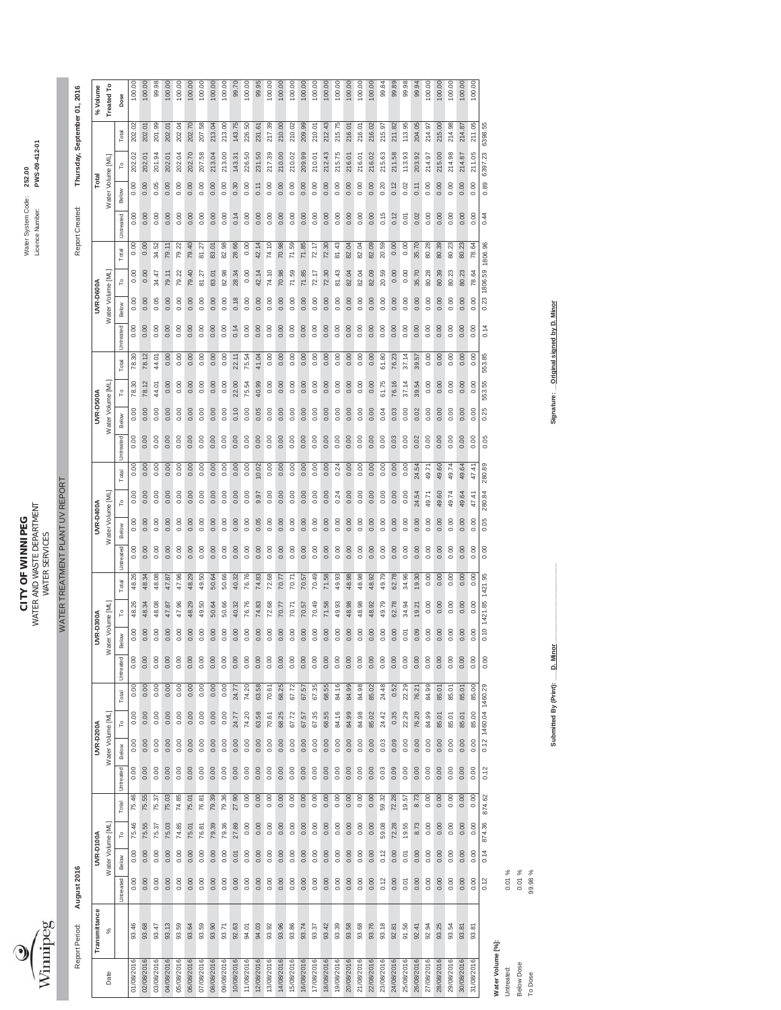

WATER AND WASTE DEPARTMENT Licence Number: **PWS-012-01 CITY OF WINNIPEG** Water System Code: **252.00 CITY OF WINNIPEG**<br>WATER AND WASTE DEPARTMENT<br>WATER SERVICES WATER SERVICES

100.00

 $\begin{array}{r} 100.00 \\ 100.00 \\ 100.00 \\ 100.00 \\ 100.00 \\ 100.00 \\ \end{array}$ 

WATER TREATMENT PLANT UV REPORT WATER TREATMENT PLANT UV REPORT

| Thursday, September 01, 2016 | %Volume       | Treated To        | Dose                           | 100.00     | 100.00     | 99.98      | 100.00     | 100.00     | 100.00     | 100.00     | 100.00     | 100.00     | 99.70      | 100.00     | 99.95      | 100.00     | 100.00     | 100.00     | 100.00     | 100.00     | 100.00     | 100.00     | 100.00     | 100.00     | 100.00     | 99.84      | 99.89      | 99.98      | 99.94      | 100.00     | 100.00     | 100.00     | 100.00     | 100.00                |                      |                   |            |            |         |
|------------------------------|---------------|-------------------|--------------------------------|------------|------------|------------|------------|------------|------------|------------|------------|------------|------------|------------|------------|------------|------------|------------|------------|------------|------------|------------|------------|------------|------------|------------|------------|------------|------------|------------|------------|------------|------------|-----------------------|----------------------|-------------------|------------|------------|---------|
|                              |               |                   | Total                          | 202.02     | 202.01     | 201.99     | 202.01     | 202.04     | 202.70     | 207.58     | 213.04     | 213.00     | 143.75     | 226.50     | 231.61     | 217.39     | 210.00     | 210.02     | 209.99     | 210.01     | 212.43     | 215.75     | 216.01     | 216.01     | 216.02     | 215.97     | 211.82     | 113.95     | 204.05     | 214.97     | 215.00     | 214.98     | 214.87     | 211.05                | 6398.55              |                   |            |            |         |
|                              |               |                   | ٢o                             | 202.02     | 202.01     | 201.94     | 202.01     | 202.04     | 202.70     | 207.58     | 213.04     | 213.00     | 143.31     | 226.50     | 231.50     | 217.39     | 210.00     | 210.02     | 209.99     | 210.01     | 212.43     | 215.75     | 216.01     | 216.01     | 216.02     | 215.63     | 211.58     | 113.93     | 203.92     | 214.97     | 215.00     | 214.98     | 214.87     | 211.05                | 6397.23              |                   |            |            |         |
|                              | Total         | Water Volume [ML] | Below                          | 0.00       | 0.00       | 0.05       | 0.00       | 0.00       | 0.00       | 0.00       | 0.00       | 0.00       | 0.30       | 0.00       | 0.11       | 0.00       | 0.00       | 0.00       | 0.00       | 0.00       | 0.00       | 0.00       | 0.00       | 0.00       | 0.00       | 0.20       | 0.12       | 0.02       | 0.11       | 0.00       | 0.00       | 0.00       | 0.00       | 0.00                  | 0.89                 |                   |            |            |         |
| Report Created:              |               |                   | Untreated                      | 0.00       | 0.00       | 0.00       | 0.00       | 0.00       | 0.00       | 0.00       | 0.00       | 0.00       | 0.14       | 0.00       | 0.00       | 0.00       | 0.00       | 0.00       | 0.00       | 0.00       | 0.00       | 0.00       | 0.00       | 0.00       | 0.00       | 0.15       | 0.12       | 0.01       | 0.02       | 0.00       | 0.00       | 0.00       | 0.00       | 0.00                  | 0.44                 |                   |            |            |         |
|                              |               |                   | Total                          | 0.00       | 0.00       | 34.52      | 79.11      | 79.22      | 79.40      | 81.27      | 83.01      | 82.98      | 28.66      | 0.00       | 42.14      | 74.10      | 70.98      | 71.59      | 71.85      | 72.17      | 72.30      | 81.43      | 82.04      | 82.04      | 82.09      | 20.59      | 0.00       | 0.00       | 35.70      | 80.28      | 80.39      | 80.23      | 80.23      | $\mathfrak{g}$<br>rø. |                      |                   |            |            |         |
|                              |               |                   | ۴                              | 0.00       | 0.00       | 34.47      | 79.11      | 79.22      | 79.40      | 81.27      | 83.01      | 82.98      | 28.34      | 0.00       | 42.14      | 74.10      | 70.98      | 71.59      | 71.85      | 72.17      | 72.30      | 81.43      | 82.04      | 82.04      | 82.09      | 20.59      | 0.00       | 0.00       | 35.70      | 80.28      | 80.39      | 80.23      | 80.23      | 78.64                 | 1806.59 1806.96      |                   |            |            |         |
|                              | UVR-D600A     | Water Volume [ML] | Below                          | 0.00       | 0.00       | 0.05       | 0.00       | 0.00       | 0.00       | 0.00       | 0.00       | 0.00       | 0.18       | 0.00       | 0.00       | 0.00       | 0.00       | 0.00       | 0.00       | 0.00       | 0.00       | 0.00       | 0.00       | 0.00       | 0.00       | 0.00       | 0.00       | 0.00       | 0.00       | 0.00       | 0.00       | 0.00       | 0.00       | 0.00                  | 0.23                 |                   |            |            |         |
|                              |               |                   | Untreated                      | 0.00       | 0.00       | 0.00       | 0.00       | 0.00       | 0.00       | 0.00       | 0.00       | 0.00       | 0.14       | 0.00       | 0.00       | 0.00       | 0.00       | 0.00       | 0.00       | 0.00       | 0.00       | 0.00       | 0.00       | 0.00       | 0.00       | 0.00       | 0.00       | 0.00       | 0.00       | 0.00       | 0.00       | 0.00       | 0.00       | 0.00                  | 0.14                 |                   |            |            |         |
|                              |               |                   | Total                          | 78.30      | 78.12      | 44.01      | 0.00       | 0.00       | 0.00       | 0.00       | 0.00       | 0.00       | 22.11      | 75.54      | 41.04      | 0.00       | 0.00       | 0.00       | 0.00       | 0.00       | 0.00       | 0.00       | 0.00       | 0.00       | 0.00       | 61.80      | 76.23      | 37.14      | 39.57      | 0.00       | 0.00       | 0.00       | 0.00       | 0.00                  | 553.85               |                   |            |            |         |
|                              |               |                   | ۴                              | 78.30      | 78.12      | 44.01      | 0.00       | 0.00       | 0.00       | 0.00       | 0.00       | 0.00       | 22.00      | 75.54      | 40.99      | 0.00       | 0.00       | 0.00       | 0.00       | 0.00       | 0.00       | 0.00       | 0.00       | 0.00       | 0.00       | 61.75      | 76.16      | 37.14      | 39.54      | 0.00       | 0.00       | 0.00       | 0.00       | 0.00                  | 553.55               |                   |            |            |         |
|                              | UVR-D500A     | Water Volume [ML] | Below                          | 0.00       | 0.00       | 0.00       | 0.00       | 0.00       | 0.00       | 0.00       | 0.00       | 0.00       | 0.10       | 0.00       | 0.05       | 0.00       | 0.00       | 0.00       | 0.00       | 0.00       | 0.00       | 0.00       | 0.00       | 0.00       | 0.00       | 0.04       | 0.03       | 0.00       | 0.02       | 0.00       | 0.00       | 0.00       | 0.00       | 0.00                  | 0.25                 |                   |            |            |         |
|                              |               |                   | Untreated                      | 0.00       | 0.00       | 0.00       | 0.00       | 0.00       | 0.00       | 0.00       | 0.00       | 0.00       | 0.00       | 0.00       | 0.00       | 0.00       | 0.00       | 0.00       | 0.00       | 0.00       | 0.00       | 0.00       | 0.00       | 0.00       | 0.00       | 0.00       | 0.03       | 0.00       | 0.02       | 0.00       | 0.00       | 0.00       | 0.00       | 0.00                  | 0.05                 |                   |            |            |         |
|                              |               |                   | Total                          | 0.00       | 0.00       | 0.00       | 0.00       | 0.00       | 0.00       | 0.00       | 0.00       | 0.00       | 0.00       | 0.00       | 10.02      | 0.00       | 0.00       | 0.00       | 0.00       | 0.00       | 0.00       | 0.24       | 0.00       | 0.00       | 0.00       | 0.00       | 0.00       | 0.00       | 24.54      | 49.71      | 49.60      | 49.74      | 49.64      | 47.41                 | 280.89               |                   |            |            |         |
|                              |               |                   | ۴                              | 0.00       | 0.00       | 0.00       | 0.00       | 0.00       | 0.00       | 0.00       | 0.00       | 0.00       | 0.00       | 0.00       | 9.97       | 0.00       | 0.00       | 0.00       | 0.00       | 0.00       | 0.00       | 0.24       | 0.00       | 0.00       | 0.00       | 0.00       | 0.00       | 0.00       | 24.54      | 49.71      | 49.60      | 49.74      | 49.64      | 47.41                 | 280.84               |                   |            |            |         |
|                              | UVR-D400A     | Water Volume [ML] | Below                          | 0.00       | 0.00       | 0.00       | 0.00       | 0.00       | 0.00       | 0.00       | 0.00       | 0.00       | 0.00       | 0.00       | 0.05       | 0.00       | 0.00       | 0.00       | 0.00       | 0.00       | 0.00       | 0.00       | 0.00       | 0.00       | 0.00       | 0.00       | 0.00       | 0.00       | 0.00       | 0.00       | 0.00       | 0.00       | 0.00       | 0.00                  | 0.05                 |                   |            |            |         |
|                              |               |                   | Untreated                      | 0.00       | 0.00       | 0.00       | 0.00       | 0.00       | 0.00       | 0.00       | 0.00       | 0.00       | 0.00       | 0.00       | 0.00       | 0.00       | 0.00       | 0.00       | 0.00       | 0.00       | 0.00       | 0.00       | 0.00       | 0.00       | 0.00       | 0.00       | 0.00       | 0.00       | 0.00       | 0.00       | 0.00       | 0.00       | 0.00       | 0.00                  | 0.00                 |                   |            |            |         |
|                              |               |                   | Total                          | 48.26      | 48.34      | 48.08      | 47.87      | 47.96      | 48.29      | 49.50      | 50.64      | 50.66      | 40.32      | 76.76      | 74.83      | 72.68      | 70.77      | 70.71      | 70.57      | 70.49      | 71.58      | 49.93      | 48.98      | 48.98      | 48.92      | 49.79      | 62.78      | 34.96      | 19.30      | 0.00       | 0.00       | 0.00       | 0.00       | 0.00                  | 1421.95              |                   |            |            |         |
|                              |               |                   | ۴                              | 48.26      | 48.34      | 48.08      | 47.87      | 47.96      | 48.29      | 49.50      | 50.64      | 50.66      | 40.32      | 76.76      | 74.83      | 72.68      | 70.77      | 70.71      | 70.57      | 70.49      | 71.58      | 49.93      | 48.98      | 48.98      | 48.92      | 49.79      | 62.78      | 34.94      | 19.21      | 0.00       | 0.00       | 0.00       | 0.00       | 0.00                  | 0.10 1421.85         |                   |            |            |         |
|                              | UVR-D300A     | Water Volume [ML  | Below                          | 0.00       | 0.00       | 0.00       | 0.00       | 0.00       | 0.00       | 0.00       | 0.00       | 0.00       | 0.00       | 0.00       | 0.00       | 0.00       | 0.00       | 0.00       | 0.00       | 0.00       | 0.00       | 0.00       | 0.00       | 0.00       | 0.00       | 0.00       | 0.00       | 0.01       | 0.09       | 0.00       | 0.00       | 0.00       | 0.00       | 0.00                  |                      |                   |            |            |         |
|                              |               |                   | Untreated                      | 0.00       | 0.00       | 0.00       | 0.00       | 0.00       | 0.00       | 0.00       | 0.00       | 0.00       | 0.00       | 0.00       | 0.00       | 0.00       | 0.00       | 0.00       | 0.00       | 0.00       | 0.00       | 0.00       | 0.00       | 0.00       | 0.00       | 0.00       | 0.00       | 0.00       | 0.00       | 0.00       | 0.00       | 0.00       | 0.00       | 0.00                  | 0.00                 |                   |            |            |         |
|                              |               |                   | Total                          | 0.00       | 0.00       | 0.00       | 0.00       | 0.00       | 0.00       | 0.00       | 0.00       | 0.00       | 24.77      | 74.20      | 63.58      | 70.61      | 68.25      | 67.72      | 67.57      | 67.35      | 68.55      | 84.16      | 84.99      | 84.98      | 85.02      | 24.48      | 0.52       | 22.29      | 76.21      | 84.99      | 85.01      | 85.01      | 85.01      | 85.00                 |                      |                   |            |            |         |
|                              |               |                   | ٢o                             | 0.00       | 0.00       | 0.00       | 0.00       | 0.00       | 0.00       | 0.00       | 0.00       | 0.00       | 24.77      | 74.20      | 63.58      | 70.61      | 68.25      | 67.72      | 67.57      | 67.35      | 68.55      | 84.16      | 84.99      | 84.98      | 85.02      | 24.42      | 0.35       | 22.29      | 76.20      | 84.99      | 85.01      | 85.01      | 85.01      | 85.00                 | 0.12 1460.04 1460.29 |                   |            |            |         |
|                              | UVR-D200A     | Water Volume [ML] | Below                          | 0.00       | 0.00       | 0.00       | 0.00       | 0.00       | 0.00       | 0.00       | 0.00       | 0.00       | 0.00       | 0.00       | 0.00       | 0.00       | 0.00       | 0.00       | 0.00       | 0.00       | 0.00       | 0.00       | 0.00       | 0.00       | 0.00       | 0.03       | 0.09       | 0.00       | 0.00       | 0.00       | 0.00       | 0.00       | 0.00       | 0.00                  |                      |                   |            |            |         |
|                              |               |                   | Untreated                      | 0.00       | 0.00       | 0.00       | 0.00       | 0.00       | 0.00       | 0.00       | 0.00       | 0.00       | 0.00       | 0.00       | 0.00       | 0.00       | 0.00       | 0.00       | 0.00       | 0.00       | 0.00       | 0.00       | 0.00       | 0.00       | 0.00       | 0.03       | 0.09       | 0.00       | 0.00       | 0.00       | 0.00       | 0.00       | 0.00       | 0.00                  | 0.12                 |                   |            |            |         |
|                              |               |                   | Total                          | 75.46      | 75.55      | 75.37      | 75.03      | 74.85      | 75.01      | 76.81      | 79.39      | 79.36      | 27.90      | 0.00       | 0.00       | 0.00       | 0.00       | 0.00       | 0.00       | 0.00       | 0.00       | 0.00       | 0.00       | 0.00       | 0.00       | 59.32      | 72.28      | 19.57      | 8.73       | 0.00       | 0.00       | 0.00       | 0.00       | 0.00                  | 874.62               |                   |            |            |         |
|                              |               |                   | $\mathop{\mathsf{L}}\nolimits$ | 75.46      | 75.55      | 75.37      | 75.03      | 74.85      | 75.01      | 76.81      | 79.39      | 79.36      | 27.89      | 0.00       | 0.00       | 0.00       | 0.00       | 0.00       | 0.00       | 0.00       | 0.00       | 0.00       | 0.00       | 0.00       | 0.00       | 59.08      | 72.28      | 19.55      | 8.73       | 0.00       | 0.00       | 0.00       | 0.00       | 0.00                  | 874.36               |                   |            |            |         |
|                              | UVR-D100A     | Water Volume [ML] | Below                          | 0.00       | 0.00       | 0.00       | 0.00       | 0.00       | 0.00       | 0.00       | 0.00       | 0.00       | 0.01       | 0.00       | 0.00       | 0.00       | 0.00       | 0.00       | 0.00       | 0.00       | 0.00       | 0.00       | 0.00       | 0.00       | 0.00       | 0.12       | 0.00       | 0.01       | 0.00       | 0.00       | 0.00       | 0.00       | 0.00       | 0.00                  | 0.14                 |                   |            |            |         |
| August 2016                  |               |                   | Untreated                      | 0.00       | 0.00       | 0.00       | 0.00       | 0.00       | 0.00       | 0.00       | 0.00       | 0.00       | 0.00       | 0.00       | 0.00       | 0.00       | 0.00       | 0.00       | 0.00       | 0.00       | 0.00       | 0.00       | 0.00       | 0.00       | 0.00       | 0.12       | 0.00       | 0.01       | 0.00       | 0.00       | 0.00       | 0.00       | 0.00       | 0.00                  | 0.12                 |                   | 0.01%      | $0.01\%$   | 99.98 % |
| Report Period:               | Transmittance | $\%$              |                                | 93.46      | 93.68      | 93.47      | 93.13      | 93.59      | 93.64      | 93.59      | 93.90      | 93.71      | 92.63      | 94.01      | 94.03      | 93.92      | 93.96      | 93.86      | 93.74      | 93.37      | 93.42      | 93.39      | 93.58      | 93.68      | 93.76      | 93.18      | 92.81      | 91.56      | 92.41      | 92.94      | 93.25      | 93.54      | 93.81      | 93.81                 |                      |                   |            |            |         |
|                              |               | Date              |                                | 01/08/2016 | 02/08/2016 | 03/08/2016 | 04/08/2016 | 05/08/2016 | 06/08/2016 | 07/08/2016 | 08/08/2016 | 09/08/2016 | 10/08/2016 | 11/08/2016 | 12/08/2016 | 13/08/2016 | 14/08/2016 | 15/08/2016 | 16/08/2016 | 17/08/2016 | 18/08/2016 | 19/08/2016 | 20/08/2016 | 21/08/2016 | 22/08/2016 | 23/08/2016 | 24/08/2016 | 25/08/2016 | 26/08/2016 | 27/08/2016 | 28/08/2016 | 29/08/2016 | 30/08/2016 | 31/08/2016            |                      | Water Volume [%]: | Untreated: | Below Dose | To Dose |

**Signature: \_\_Original signed by D. Minor**

Signature: Original signed by D. Minor

**Submitted By (Print): \_\_\_D. Minor\_\_\_\_\_\_\_\_\_\_\_\_\_\_\_\_\_\_\_\_\_\_**

Submitted By (Print): D. Minor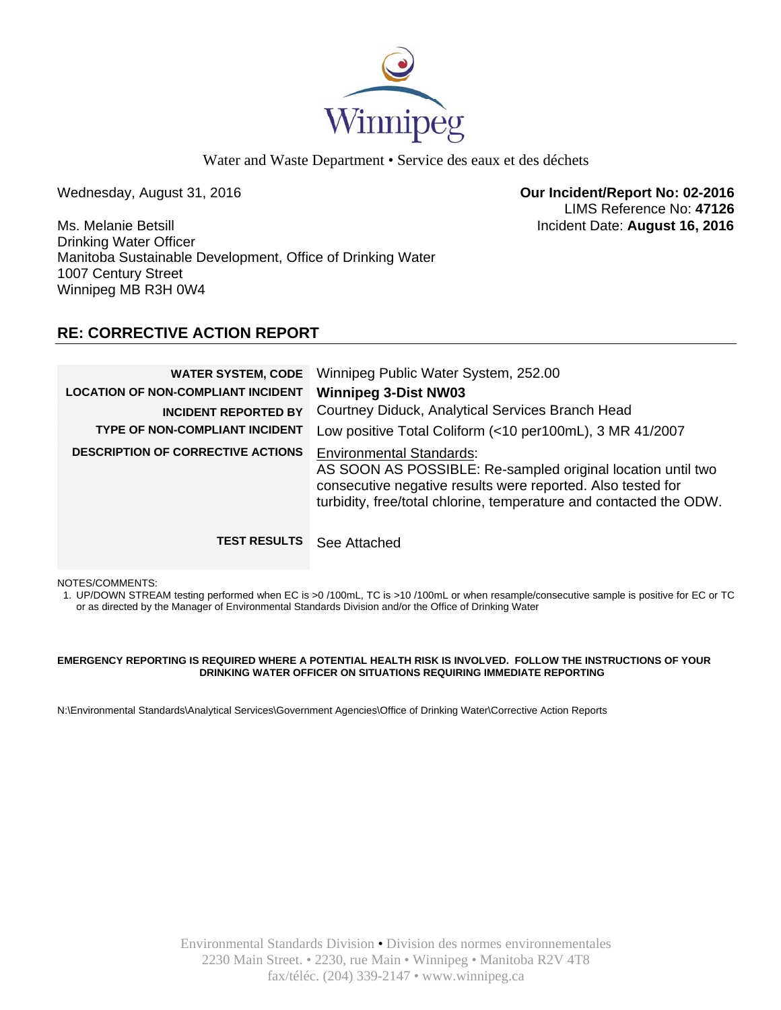

Water and Waste Department • Service des eaux et des déchets

Wednesday, August 31, 2016 **Our Incident/Report No: 02-2016**  LIMS Reference No: **47126**

Ms. Melanie Betsill Incident Date: **August 16, 2016**  Drinking Water Officer Manitoba Sustainable Development, Office of Drinking Water 1007 Century Street Winnipeg MB R3H 0W4

## **RE: CORRECTIVE ACTION REPORT**

| <b>WATER SYSTEM, CODE</b><br><b>LOCATION OF NON-COMPLIANT INCIDENT</b><br><b>INCIDENT REPORTED BY</b><br><b>TYPE OF NON-COMPLIANT INCIDENT</b> | Winnipeg Public Water System, 252.00<br><b>Winnipeg 3-Dist NW03</b><br>Courtney Diduck, Analytical Services Branch Head<br>Low positive Total Coliform (<10 per100mL), 3 MR 41/2007                                                 |
|------------------------------------------------------------------------------------------------------------------------------------------------|-------------------------------------------------------------------------------------------------------------------------------------------------------------------------------------------------------------------------------------|
| <b>DESCRIPTION OF CORRECTIVE ACTIONS</b>                                                                                                       | <b>Environmental Standards:</b><br>AS SOON AS POSSIBLE: Re-sampled original location until two<br>consecutive negative results were reported. Also tested for<br>turbidity, free/total chlorine, temperature and contacted the ODW. |
| <b>TEST RESULTS</b>                                                                                                                            | See Attached                                                                                                                                                                                                                        |

NOTES/COMMENTS:

1. UP/DOWN STREAM testing performed when EC is >0 /100mL, TC is >10 /100mL or when resample/consecutive sample is positive for EC or TC or as directed by the Manager of Environmental Standards Division and/or the Office of Drinking Water

### **EMERGENCY REPORTING IS REQUIRED WHERE A POTENTIAL HEALTH RISK IS INVOLVED. FOLLOW THE INSTRUCTIONS OF YOUR DRINKING WATER OFFICER ON SITUATIONS REQUIRING IMMEDIATE REPORTING**

N:\Environmental Standards\Analytical Services\Government Agencies\Office of Drinking Water\Corrective Action Reports